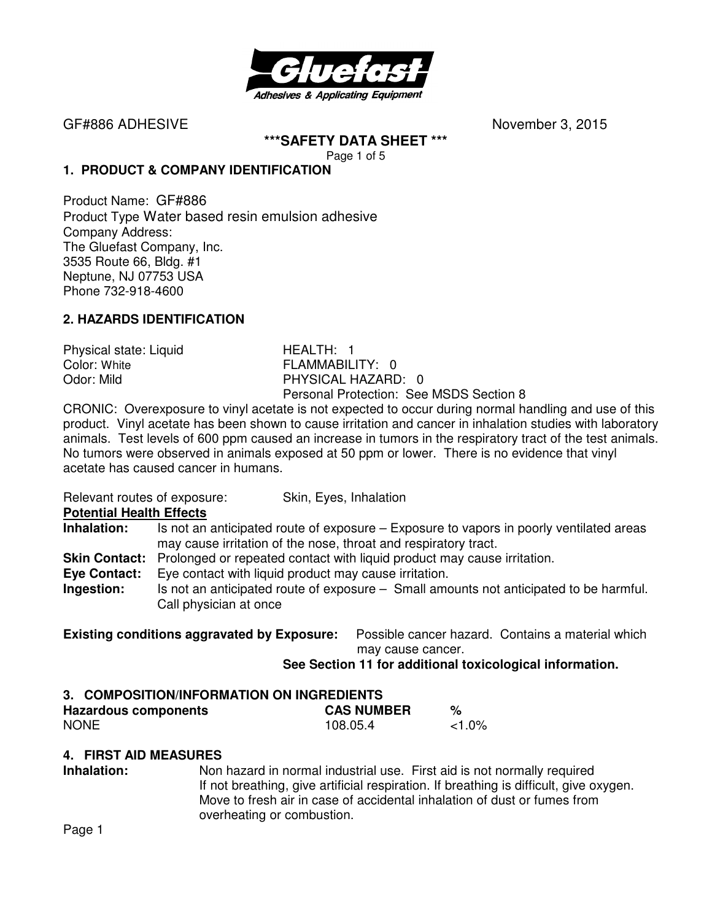

GF#886 ADHESIVENovember 3, 2015

**\*\*\*SAFETY DATA SHEET \*\*\***  Page 1 of 5

#### **1. PRODUCT & COMPANY IDENTIFICATION**

Product Name: GF#886 Product Type Water based resin emulsion adhesive Company Address: The Gluefast Company, Inc. 3535 Route 66, Bldg. #1 Neptune, NJ 07753 USA Phone 732-918-4600

# **2. HAZARDS IDENTIFICATION**

Physical state: Liquid **HEALTH: 1**<br>Color: White **History Color:** White

FLAMMABILITY: 0 Odor: Mild **PHYSICAL HAZARD:** 0 Personal Protection: See MSDS Section 8

CRONIC: Overexposure to vinyl acetate is not expected to occur during normal handling and use of this product. Vinyl acetate has been shown to cause irritation and cancer in inhalation studies with laboratory animals. Test levels of 600 ppm caused an increase in tumors in the respiratory tract of the test animals. No tumors were observed in animals exposed at 50 ppm or lower. There is no evidence that vinyl acetate has caused cancer in humans.

Relevant routes of exposure: Skin, Eyes, Inhalation

**Potential Health Effects** 

- **Inhalation:** Is not an anticipated route of exposure Exposure to vapors in poorly ventilated areas may cause irritation of the nose, throat and respiratory tract.
- **Skin Contact:** Prolonged or repeated contact with liquid product may cause irritation.
- **Eye Contact:** Eye contact with liquid product may cause irritation.
- **Ingestion:** Is not an anticipated route of exposure Small amounts not anticipated to be harmful. Call physician at once

**Existing conditions aggravated by Exposure:** Possible cancer hazard. Contains a material which may cause cancer.

#### **See Section 11 for additional toxicological information.**

#### **3. COMPOSITION/INFORMATION ON INGREDIENTS**

| <b>Hazardous components</b> | <b>CAS NUMBER</b> |           |
|-----------------------------|-------------------|-----------|
| <b>NONE</b>                 | 108.05.4          | $< 1.0\%$ |

#### **4. FIRST AID MEASURES**

**Inhalation:** Non hazard in normal industrial use. First aid is not normally required If not breathing, give artificial respiration. If breathing is difficult, give oxygen. Move to fresh air in case of accidental inhalation of dust or fumes from overheating or combustion.

Page 1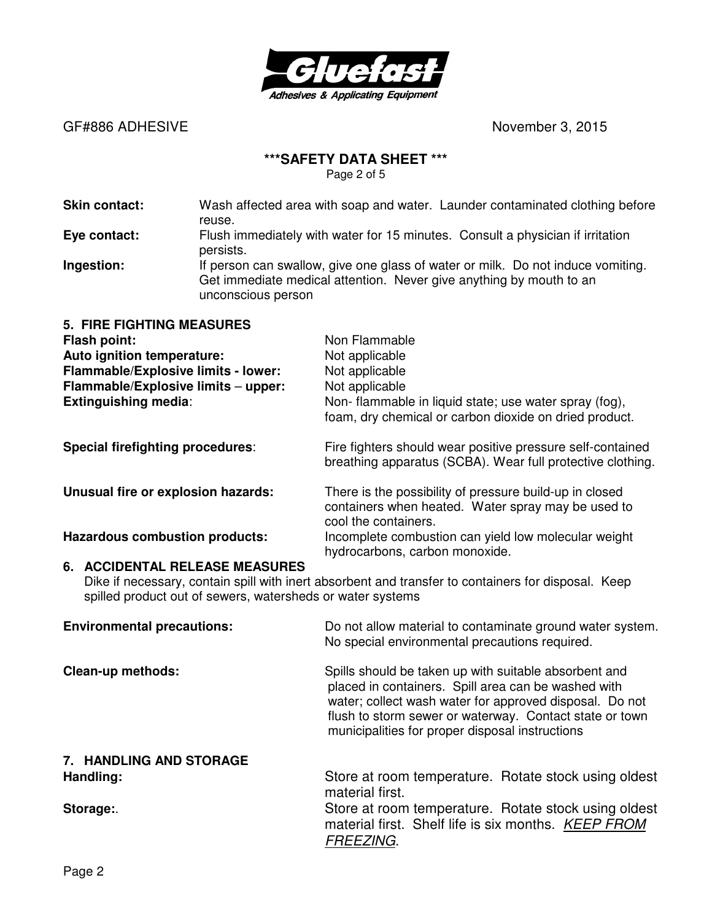

GF#886 ADHESIVE **CONSERVING** SERVICE **RESERVE ASSESSED ASSESSED ASSESSED ASSESSED ASSESSED ASSESSED ASSESSED ASSESSED ASSESSED ASSESSED ASSESSED ASSESSED AND THE SERVICE OF A SERVICE OF A SERVICE OF A SERVICE OF A SERVICE** 

# **\*\*\*SAFETY DATA SHEET \*\*\***

Page 2 of 5

| <b>Skin contact:</b>                                                                                                                                                                                | Wash affected area with soap and water. Launder contaminated clothing before<br>reuse.                                                                                       |                                                                                                                                                                                                                                                                                       |  |
|-----------------------------------------------------------------------------------------------------------------------------------------------------------------------------------------------------|------------------------------------------------------------------------------------------------------------------------------------------------------------------------------|---------------------------------------------------------------------------------------------------------------------------------------------------------------------------------------------------------------------------------------------------------------------------------------|--|
| Eye contact:                                                                                                                                                                                        | Flush immediately with water for 15 minutes. Consult a physician if irritation<br>persists.                                                                                  |                                                                                                                                                                                                                                                                                       |  |
| Ingestion:                                                                                                                                                                                          | If person can swallow, give one glass of water or milk. Do not induce vomiting.<br>Get immediate medical attention. Never give anything by mouth to an<br>unconscious person |                                                                                                                                                                                                                                                                                       |  |
| <b>5. FIRE FIGHTING MEASURES</b><br>Flash point:<br>Auto ignition temperature:<br>Flammable/Explosive limits - lower:<br>Flammable/Explosive limits - upper:<br>Extinguishing media:                |                                                                                                                                                                              | Non Flammable<br>Not applicable<br>Not applicable<br>Not applicable<br>Non- flammable in liquid state; use water spray (fog),<br>foam, dry chemical or carbon dioxide on dried product.                                                                                               |  |
| <b>Special firefighting procedures:</b>                                                                                                                                                             |                                                                                                                                                                              | Fire fighters should wear positive pressure self-contained<br>breathing apparatus (SCBA). Wear full protective clothing.                                                                                                                                                              |  |
| Unusual fire or explosion hazards:                                                                                                                                                                  |                                                                                                                                                                              | There is the possibility of pressure build-up in closed<br>containers when heated. Water spray may be used to<br>cool the containers.                                                                                                                                                 |  |
| <b>Hazardous combustion products:</b>                                                                                                                                                               |                                                                                                                                                                              | Incomplete combustion can yield low molecular weight<br>hydrocarbons, carbon monoxide.                                                                                                                                                                                                |  |
| 6. ACCIDENTAL RELEASE MEASURES<br>Dike if necessary, contain spill with inert absorbent and transfer to containers for disposal. Keep<br>spilled product out of sewers, watersheds or water systems |                                                                                                                                                                              |                                                                                                                                                                                                                                                                                       |  |
| <b>Environmental precautions:</b>                                                                                                                                                                   |                                                                                                                                                                              | Do not allow material to contaminate ground water system.<br>No special environmental precautions required.                                                                                                                                                                           |  |
| Clean-up methods:                                                                                                                                                                                   |                                                                                                                                                                              | Spills should be taken up with suitable absorbent and<br>placed in containers. Spill area can be washed with<br>water; collect wash water for approved disposal. Do not<br>flush to storm sewer or waterway. Contact state or town<br>municipalities for proper disposal instructions |  |
| 7. HANDLING AND STORAGE<br>Handling:<br>Storage:                                                                                                                                                    |                                                                                                                                                                              | Store at room temperature. Rotate stock using oldest<br>material first.<br>Store at room temperature. Rotate stock using oldest<br>material first. Shelf life is six months. KEEP FROM<br><u>FREEZING</u> .                                                                           |  |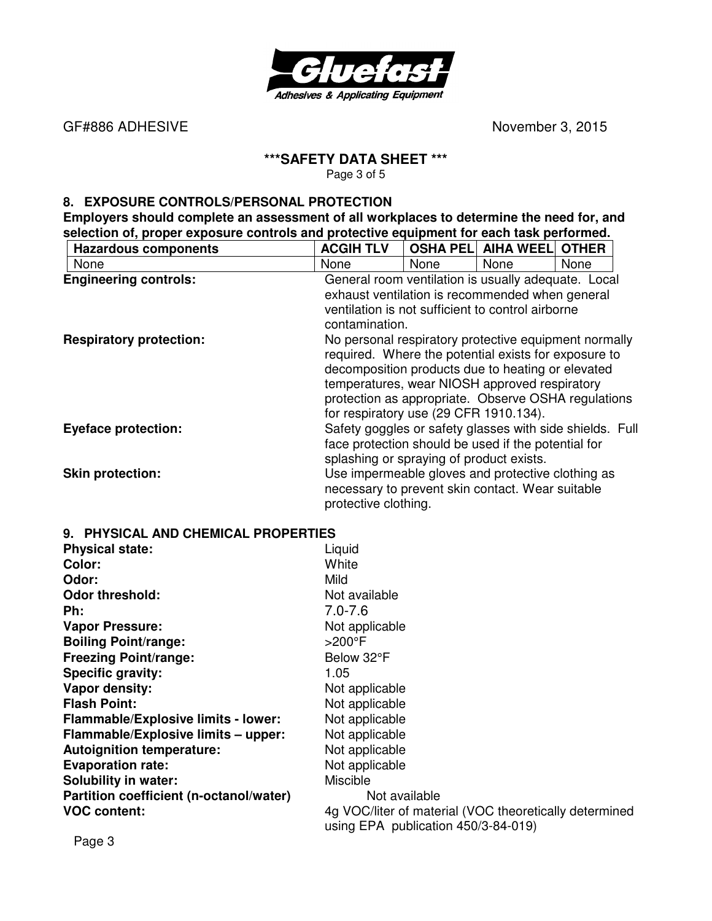

GF#886 ADHESIVE **BUSICE CONTRACTE ACCOUNT ACCOUNT ACCOUNT ACCOUNT ACCOUNT ACCOUNT ACCOUNT ACCOUNT ACCOUNT ACCOUNT ACCOUNT ACCOUNT ACCOUNT ACCOUNT ACCOUNT ACCOUNT ACCOUNT ACCOUNT ACCOUNT ACCOUNT ACCOUNT ACCOUNT ACCOUNT AC** 

# **\*\*\*SAFETY DATA SHEET \*\*\***

Page 3 of 5

# **8. EXPOSURE CONTROLS/PERSONAL PROTECTION**

**Employers should complete an assessment of all workplaces to determine the need for, and selection of, proper exposure controls and protective equipment for each task performed.** 

| <b>Hazardous components</b>    | <b>ACGIH TLV</b>                                                                                                                                                                                                                                              |             | <b>OSHA PELI AIHA WEELI OTHER</b>                                                                     |      |  |
|--------------------------------|---------------------------------------------------------------------------------------------------------------------------------------------------------------------------------------------------------------------------------------------------------------|-------------|-------------------------------------------------------------------------------------------------------|------|--|
| None                           | None                                                                                                                                                                                                                                                          | <b>None</b> | None                                                                                                  | None |  |
| <b>Engineering controls:</b>   |                                                                                                                                                                                                                                                               |             | General room ventilation is usually adequate. Local                                                   |      |  |
|                                | exhaust ventilation is recommended when general<br>ventilation is not sufficient to control airborne<br>contamination.                                                                                                                                        |             |                                                                                                       |      |  |
| <b>Respiratory protection:</b> | No personal respiratory protective equipment normally<br>required. Where the potential exists for exposure to<br>decomposition products due to heating or elevated<br>temperatures, wear NIOSH approved respiratory<br>for respiratory use (29 CFR 1910.134). |             | protection as appropriate. Observe OSHA regulations                                                   |      |  |
| <b>Eyeface protection:</b>     | face protection should be used if the potential for<br>splashing or spraying of product exists.                                                                                                                                                               |             | Safety goggles or safety glasses with side shields. Full                                              |      |  |
| <b>Skin protection:</b>        | protective clothing.                                                                                                                                                                                                                                          |             | Use impermeable gloves and protective clothing as<br>necessary to prevent skin contact. Wear suitable |      |  |

#### **9. PHYSICAL AND CHEMICAL PROPERTIES**

| <b>Physical state:</b>                  | Liquid                                                 |
|-----------------------------------------|--------------------------------------------------------|
| Color:                                  | White                                                  |
| Odor:                                   | Mild                                                   |
| <b>Odor threshold:</b>                  | Not available                                          |
| Ph:                                     | $7.0 - 7.6$                                            |
| <b>Vapor Pressure:</b>                  | Not applicable                                         |
| <b>Boiling Point/range:</b>             | $>200^\circ F$                                         |
| <b>Freezing Point/range:</b>            | Below 32°F                                             |
| Specific gravity:                       | 1.05                                                   |
| Vapor density:                          | Not applicable                                         |
| <b>Flash Point:</b>                     | Not applicable                                         |
| Flammable/Explosive limits - lower:     | Not applicable                                         |
| Flammable/Explosive limits - upper:     | Not applicable                                         |
| <b>Autoignition temperature:</b>        | Not applicable                                         |
| <b>Evaporation rate:</b>                | Not applicable                                         |
| <b>Solubility in water:</b>             | Miscible                                               |
| Partition coefficient (n-octanol/water) | Not available                                          |
| <b>VOC content:</b>                     | 4g VOC/liter of material (VOC theoretically determined |
|                                         | using EPA publication 450/3-84-019)                    |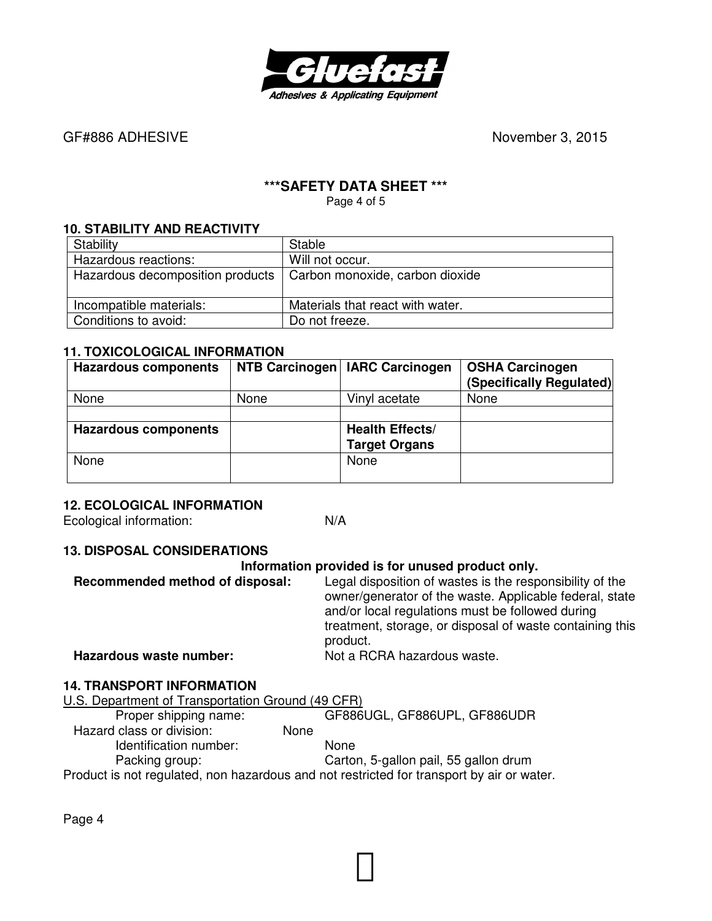

GF#886 ADHESIVE **BUSICE CONTRACTES November 3, 2015** 

# **\*\*\*SAFETY DATA SHEET \*\*\***

Page 4 of 5

#### **10. STABILITY AND REACTIVITY**

| Stability                                                          | Stable                           |
|--------------------------------------------------------------------|----------------------------------|
| Hazardous reactions:                                               | Will not occur.                  |
| Hazardous decomposition products   Carbon monoxide, carbon dioxide |                                  |
| Incompatible materials:                                            | Materials that react with water. |
| Conditions to avoid:                                               | Do not freeze.                   |

#### **11. TOXICOLOGICAL INFORMATION**

| <b>Hazardous components</b> |      | NTB Carcinogen   IARC Carcinogen | <b>OSHA Carcinogen</b><br>(Specifically Regulated) |
|-----------------------------|------|----------------------------------|----------------------------------------------------|
| None                        | None | Vinyl acetate                    | None                                               |
|                             |      |                                  |                                                    |
| <b>Hazardous components</b> |      | <b>Health Effects/</b>           |                                                    |
|                             |      | <b>Target Organs</b>             |                                                    |
| None                        |      | None                             |                                                    |
|                             |      |                                  |                                                    |

# **12. ECOLOGICAL INFORMATION**

Ecological information: N/A

# **13. DISPOSAL CONSIDERATIONS**

# **Information provided is for unused product only.**

| Recommended method of disposal: | Legal disposition of wastes is the responsibility of the<br>owner/generator of the waste. Applicable federal, state<br>and/or local regulations must be followed during<br>treatment, storage, or disposal of waste containing this<br>product. |
|---------------------------------|-------------------------------------------------------------------------------------------------------------------------------------------------------------------------------------------------------------------------------------------------|
| Hazardous waste number:         | Not a RCRA hazardous waste.                                                                                                                                                                                                                     |
|                                 |                                                                                                                                                                                                                                                 |

# **14. TRANSPORT INFORMATION**

| GF886UGL, GF886UPL, GF886UDR                                                              |
|-------------------------------------------------------------------------------------------|
|                                                                                           |
|                                                                                           |
| Carton, 5-gallon pail, 55 gallon drum                                                     |
| Product is not regulated, non hazardous and not restricted for transport by air or water. |
|                                                                                           |

Page 4